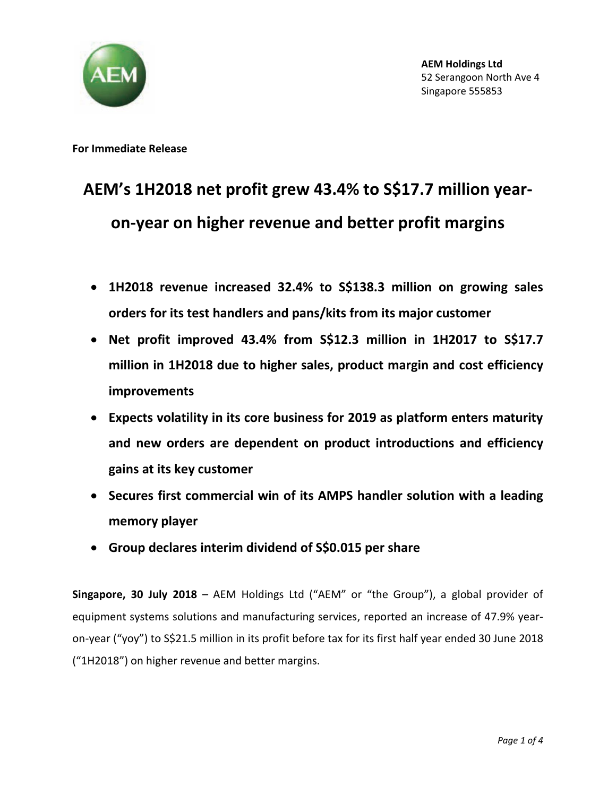

**For Immediate Release**

## **AEM's 1H2018 net profit grew 43.4% to S\$17.7 million yearon-year on higher revenue and better profit margins**

- **1H2018 revenue increased 32.4% to S\$138.3 million on growing sales orders for its test handlers and pans/kits from its major customer**
- **Net profit improved 43.4% from S\$12.3 million in 1H2017 to S\$17.7 million in 1H2018 due to higher sales, product margin and cost efficiency improvements**
- **Expects volatility in its core business for 2019 as platform enters maturity and new orders are dependent on product introductions and efficiency gains at its key customer**
- **Secures first commercial win of its AMPS handler solution with a leading memory player**
- **Group declares interim dividend of S\$0.015 per share**

**Singapore, 30 July 2018** – AEM Holdings Ltd ("AEM" or "the Group"), a global provider of equipment systems solutions and manufacturing services, reported an increase of 47.9% yearon-year ("yoy") to S\$21.5 million in its profit before tax for its first half year ended 30 June 2018 ("1H2018") on higher revenue and better margins.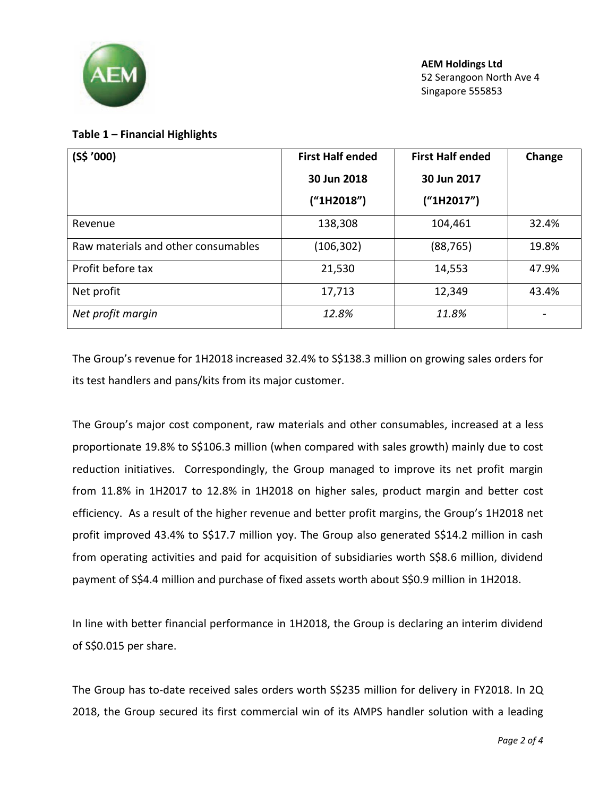

## **Table 1 – Financial Highlights**

| $(S$^{\prime}000)$                  | <b>First Half ended</b> | <b>First Half ended</b> | Change |
|-------------------------------------|-------------------------|-------------------------|--------|
|                                     | 30 Jun 2018             | 30 Jun 2017             |        |
|                                     | ("1H2018")              | ("1H2017")              |        |
| Revenue                             | 138,308                 | 104,461                 | 32.4%  |
| Raw materials and other consumables | (106, 302)              | (88, 765)               | 19.8%  |
| Profit before tax                   | 21,530                  | 14,553                  | 47.9%  |
| Net profit                          | 17,713                  | 12,349                  | 43.4%  |
| Net profit margin                   | 12.8%                   | 11.8%                   |        |

The Group's revenue for 1H2018 increased 32.4% to S\$138.3 million on growing sales orders for its test handlers and pans/kits from its major customer.

The Group's major cost component, raw materials and other consumables, increased at a less proportionate 19.8% to S\$106.3 million (when compared with sales growth) mainly due to cost reduction initiatives. Correspondingly, the Group managed to improve its net profit margin from 11.8% in 1H2017 to 12.8% in 1H2018 on higher sales, product margin and better cost efficiency. As a result of the higher revenue and better profit margins, the Group's 1H2018 net profit improved 43.4% to S\$17.7 million yoy. The Group also generated S\$14.2 million in cash from operating activities and paid for acquisition of subsidiaries worth S\$8.6 million, dividend payment of S\$4.4 million and purchase of fixed assets worth about S\$0.9 million in 1H2018.

In line with better financial performance in 1H2018, the Group is declaring an interim dividend of S\$0.015 per share.

The Group has to-date received sales orders worth S\$235 million for delivery in FY2018. In 2Q 2018, the Group secured its first commercial win of its AMPS handler solution with a leading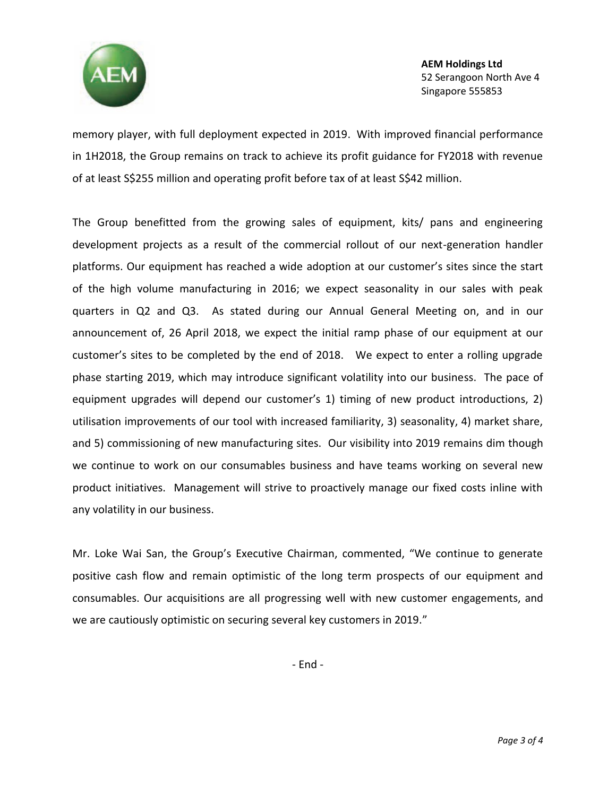

**AEM Holdings Ltd** 52 Serangoon North Ave 4 Singapore 555853

memory player, with full deployment expected in 2019. With improved financial performance in 1H2018, the Group remains on track to achieve its profit guidance for FY2018 with revenue of at least S\$255 million and operating profit before tax of at least S\$42 million.

The Group benefitted from the growing sales of equipment, kits/ pans and engineering development projects as a result of the commercial rollout of our next-generation handler platforms. Our equipment has reached a wide adoption at our customer's sites since the start of the high volume manufacturing in 2016; we expect seasonality in our sales with peak quarters in Q2 and Q3. As stated during our Annual General Meeting on, and in our announcement of, 26 April 2018, we expect the initial ramp phase of our equipment at our customer's sites to be completed by the end of 2018. We expect to enter a rolling upgrade phase starting 2019, which may introduce significant volatility into our business. The pace of equipment upgrades will depend our customer's 1) timing of new product introductions, 2) utilisation improvements of our tool with increased familiarity, 3) seasonality, 4) market share, and 5) commissioning of new manufacturing sites. Our visibility into 2019 remains dim though we continue to work on our consumables business and have teams working on several new product initiatives. Management will strive to proactively manage our fixed costs inline with any volatility in our business.

Mr. Loke Wai San, the Group's Executive Chairman, commented, "We continue to generate positive cash flow and remain optimistic of the long term prospects of our equipment and consumables. Our acquisitions are all progressing well with new customer engagements, and we are cautiously optimistic on securing several key customers in 2019."

- End -